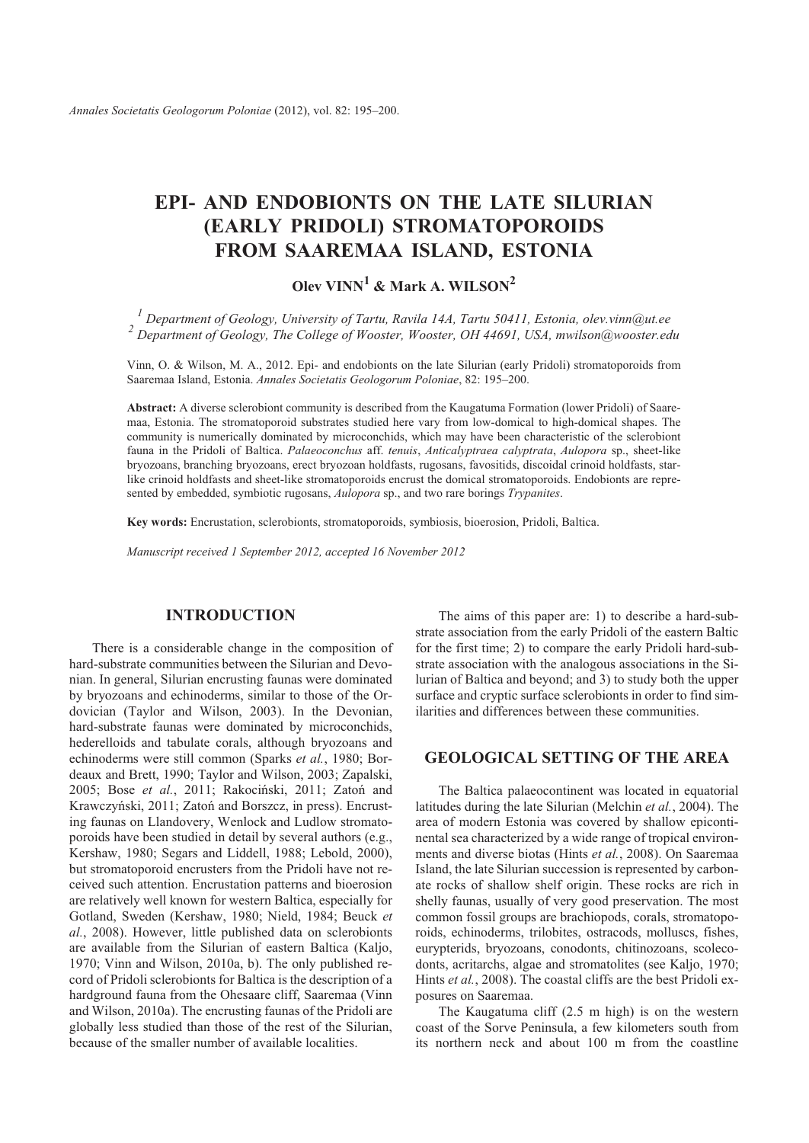# **EPI- AND ENDOBIONTS ON THE LATE SILURIAN (EARLY PRIDOLI) STROMATOPOROIDS FROM SAAREMAA ISLAND, ESTONIA**

## $O$ lev VINN<sup>1</sup> & Mark A. WILSON<sup>2</sup>

<sup>1</sup> Department of Geology, University of Tartu, Ravila 14A, Tartu 50411, Estonia, olev.vinn@ut.ee <sup>2</sup> Department of Geology, The College of Wooster, Wooster, OH 44691, USA, mwilson@wooster.edu

Vinn, O. & Wilson, M. A., 2012. Epi- and endobionts on the late Silurian (early Pridoli) stromatoporoids from Saaremaa Island, Estonia. *Annales Societatis Geologorum Poloniae*, 82: 195–200.

Abstract: A diverse sclerobiont community is described from the Kaugatuma Formation (lower Pridoli) of Saaremaa, Estonia. The stromatoporoid substrates studied here vary from low-domical to high-domical shapes. The community is numerically dominated by microconchids, which may have been characteristic of the sclerobiont fauna in the Pridoli of Baltica. *Palaeoconchus* aff. *tenuis*, *Anticalyptraea calyptrata*, *Aulopora* sp., sheet-like bryozoans, branching bryozoans, erect bryozoan holdfasts, rugosans, favositids, discoidal crinoid holdfasts, starlike crinoid holdfasts and sheet-like stromatoporoids encrust the domical stromatoporoids. Endobionts are represented by embedded, symbiotic rugosans, *Aulopora* sp., and two rare borings *Trypanites*.

Key words: Encrustation, sclerobionts, stromatoporoids, symbiosis, bioerosion, Pridoli, Baltica.

*Manuscript re ceived 1 September 2012, accepted 16 November 2012*

## **INTRODUCTION**

There is a considerable change in the composition of hard-substrate communities between the Silurian and Devonian. In general, Silurian encrusting faunas were dominated by bryozoans and echinoderms, similar to those of the Ordovician (Taylor and Wilson, 2003). In the Devonian, hard-substrate faunas were dominated by microconchids, hederelloids and tabulate corals, although bryozoans and echinoderms were still common (Sparks *et al.*, 1980; Bordeaux and Brett, 1990; Taylor and Wilson, 2003; Zapalski, 2005; Bose *et al.*, 2011; Rakociñski, 2011; Zatoñ and Krawczyński, 2011; Zatoń and Borszcz, in press). Encrusting faunas on Llandovery, Wenlock and Ludlow stromatoporoids have been studied in detail by several authors (e.g., Kershaw, 1980; Segars and Liddell, 1988; Lebold, 2000), but stromatoporoid encrusters from the Pridoli have not received such attention. Encrustation patterns and bioerosion are relatively well known for western Baltica, especially for Gotland, Sweden (Kershaw, 1980; Nield, 1984; Beuck *et* al., 2008). However, little published data on sclerobionts are available from the Silurian of eastern Baltica (Kaljo, 1970; Vinn and Wilson, 2010a, b). The only published record of Pridoli sclerobionts for Baltica is the description of a hardground fauna from the Ohesaare cliff, Saaremaa (Vinn and Wilson, 2010a). The encrusting faunas of the Pridoli are globally less studied than those of the rest of the Silurian, because of the smaller number of available localities.

The aims of this paper are: 1) to describe a hard-substrate association from the early Pridoli of the eastern Baltic for the first time; 2) to compare the early Pridoli hard-substrate association with the analogous associations in the Silurian of Baltica and beyond; and 3) to study both the upper surface and cryptic surface sclerobionts in order to find similarities and differences between these communities.

### **GEOLOGICAL SETTING OF THE AREA**

The Baltica palaeocontinent was located in equatorial latitudes during the late Silurian (Melchin *et al.*, 2004). The area of modern Estonia was covered by shallow epicontinental sea characterized by a wide range of tropical environments and diverse biotas (Hints et al., 2008). On Saaremaa Island, the late Silurian succession is represented by carbonate rocks of shallow shelf origin. These rocks are rich in shelly faunas, usually of very good preservation. The most common fossil groups are brachiopods, corals, stromatoporoids, echinoderms, trilobites, ostracods, molluscs, fishes, eurypterids, bryozoans, conodonts, chitinozoans, scolecodonts, acritarchs, algae and stromatolites (see Kalio, 1970; Hints *et al.*, 2008). The coastal cliffs are the best Pridoli exposures on Saaremaa.

The Kaugatuma cliff (2.5 m high) is on the western coast of the Sorve Peninsula, a few kilometers south from its northern neck and about 100 m from the coastline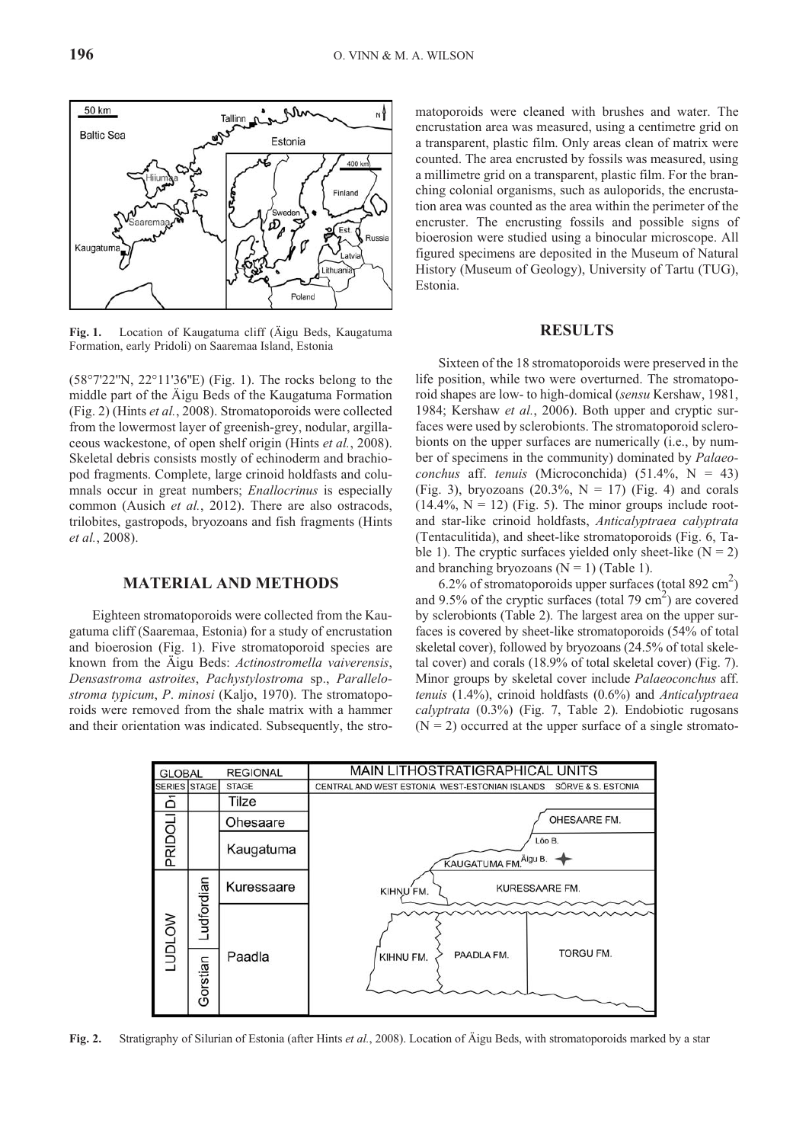

(58°7'22''N, 22°11'36''E) (Fig. 1). The rocks belong to the middle part of the Äigu Beds of the Kaugatuma Formation (Fig. 2) (Hints *et al.*, 2008). Stromatoporoids were collected from the lowermost layer of greenish-grey, nodular, argillaceous wackestone, of open shelf origin (Hints *et al.*, 2008). Skeletal debris consists mostly of echinoderm and brachiopod fragments. Complete, large crinoid holdfasts and columnals occur in great numbers; *Enallocrinus* is especially common (Ausich *et al.*, 2012). There are also ostracods, trilobites, gastropods, bryozoans and fish fragments (Hints *et al.*, 2008).

#### **MATERIAL AND METHODS**

Eighteen stromatoporoids were collected from the Kaugatuma cliff (Saaremaa, Estonia) for a study of encrustation and bioerosion (Fig. 1). Five stromatoporoid species are known from the Äigu Beds: *Actinostromella vaiverensis*, *Densastroma astroites*, *Pachystylostroma* sp., *Parallelostroma typicum*, *P*. *minosi* (Kaljo, 1970). The stromatoporoids were removed from the shale matrix with a hammer and their orientation was indicated. Subsequently, the stromatoporoids were cleaned with brushes and water. The encrustation area was measured, using a centimetre grid on a transparent, plastic film. Only areas clean of matrix were counted. The area encrusted by fossils was measured, using a millimetre grid on a transparent, plastic film. For the branching colonial organisms, such as auloporids, the encrustation area was counted as the area within the perimeter of the encruster. The encrusting fossils and possible signs of bioerosion were studied using a binocular microscope. All figured specimens are deposited in the Museum of Natural History (Museum of Geology), University of Tartu (TUG), Estonia.

#### **RE SULTS**

Sixteen of the 18 stromatoporoids were preserved in the life position, while two were overturned. The stromatoporoid shapes are low- to high-domical (*sensu* Kershaw, 1981, 1984; Kershaw *et al.*, 2006). Both upper and cryptic surfaces were used by sclerobionts. The stromatoporoid sclerobionts on the upper surfaces are numerically (i.e., by number of specimens in the community) dominated by *Palaeoconchus* aff. *tenuis* (Microconchida) (51.4%, N = 43) (Fig. 3), bryozoans  $(20.3\%, N = 17)$  (Fig. 4) and corals  $(14.4\%, N = 12)$  (Fig. 5). The minor groups include rootand star-like crinoid holdfasts, *Anticalyptraea calyptrata* (Tentaculitida), and sheet-like stromatoporoids (Fig. 6, Ta ble 1). The cryptic surfaces yielded only sheet-like  $(N = 2)$ and branching bryozoans  $(N = 1)$  (Table 1).

6.2% of stromatoporoids upper surfaces (total 892 cm<sup>2</sup>) and 9.5% of the cryptic surfaces (total 79 cm<sup>2</sup>) are covered by sclerobionts (Table 2). The largest area on the upper surfaces is covered by sheet-like stromatoporoids (54% of total skeletal cover), followed by bryozoans (24.5% of total skeletal cover) and corals  $(18.9\% \text{ of total skeletal cover})$  (Fig. 7). Minor groups by skeletal cover include *Palaeoconchus* aff. *tenuis* (1.4%), crinoid holdfasts (0.6%) and *Anticalyptraea calyptrata* (0.3%) (Fig. 7, Table 2). Endobiotic rugosans  $(N = 2)$  occurred at the upper surface of a single stromato-



**Fig. 2.** Stratigraphy of Silurian of Estonia (after Hints *et al.*, 2008). Location of Äigu Beds, with stromatoporoids marked by a star

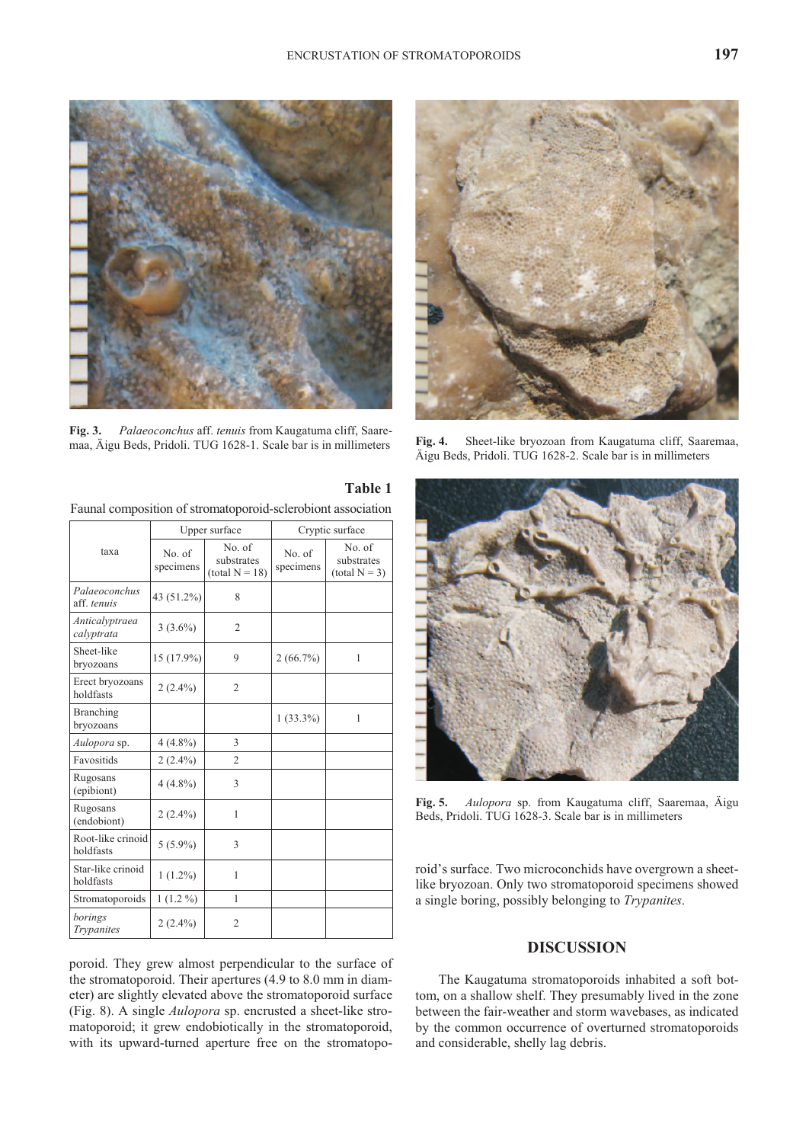

**Fig. 3.** *Palaeoconchus* aff. *tenuis* from Kaugatuma cliff, Saaremaa, Äigu Beds, Pridoli. TUG 1628-1. Scale bar is in millimeters **Fig. 4.** Sheet-like bryozoan from Kaugatuma cliff, Saaremaa,



|                                |                     | Upper surface                            | Cryptic surface     |                                         |  |
|--------------------------------|---------------------|------------------------------------------|---------------------|-----------------------------------------|--|
| taxa                           | No. of<br>specimens | No. of<br>substrates<br>$(total N = 18)$ | No. of<br>specimens | No. of<br>substrates<br>$(total N = 3)$ |  |
| Palaeoconchus<br>aff. tenuis   | 43 (51.2%)          | 8                                        |                     |                                         |  |
| Anticalyptraea<br>calyptrata   | $3(3.6\%)$          | $\overline{2}$                           |                     |                                         |  |
| Sheet-like<br>bryozoans        | 15 (17.9%)          | 9                                        | $2(66.7\%)$         | 1                                       |  |
| Erect bryozoans<br>holdfasts   | $2(2.4\%)$          | $\overline{2}$                           |                     |                                         |  |
| <b>Branching</b><br>bryozoans  |                     |                                          | $1(33.3\%)$         | $\mathbf{1}$                            |  |
| Aulopora sp.                   | $4(4.8\%)$          | 3                                        |                     |                                         |  |
| Favositids                     | $2(2.4\%)$          | $\overline{c}$                           |                     |                                         |  |
| Rugosans<br>(epibiont)         | $4(4.8\%)$          | 3                                        |                     |                                         |  |
| Rugosans<br>(endobiont)        | $2(2.4\%)$          | 1                                        |                     |                                         |  |
| Root-like crinoid<br>holdfasts | $5(5.9\%)$          | 3                                        |                     |                                         |  |
| Star-like crinoid<br>holdfasts | $1(1.2\%)$          | 1                                        |                     |                                         |  |
| Stromatoporoids                | $1(1.2\%)$          | 1                                        |                     |                                         |  |
| borings<br>Trypanites          | $2(2.4\%)$          | 2                                        |                     |                                         |  |

poroid. They grew almost perpendicular to the surface of the stromatoporoid. Their apertures  $(4.9 \text{ to } 8.0 \text{ mm in diam-}$ eter) are slightly elevated above the stromatoporoid surface (Fig. 8). A single *Aulopora* sp. encrusted a sheet-like stromatoporoid; it grew endobiotically in the stromatoporoid, with its upward-turned aperture free on the stromatopo-



Äigu Beds, Pridoli. TUG 1628-2. Scale bar is in millimeters



**Fig. 5.** *Aulopora* sp. from Kaugatuma cliff, Saaremaa, Äigu Beds, Pridoli. TUG 1628-3. Scale bar is in millimeters

roid's surface. Two microconchids have overgrown a sheetlike bryozoan. Only two stromatoporoid specimens showed a single boring, possibly belonging to *Trypanites*.

## **DIS CUS SION**

The Kaugatuma stromatoporoids inhabited a soft bottom, on a shallow shelf. They presumably lived in the zone between the fair-weather and storm wavebases, as indicated by the common occurrence of overturned stromatoporoids and considerable, shelly lag debris.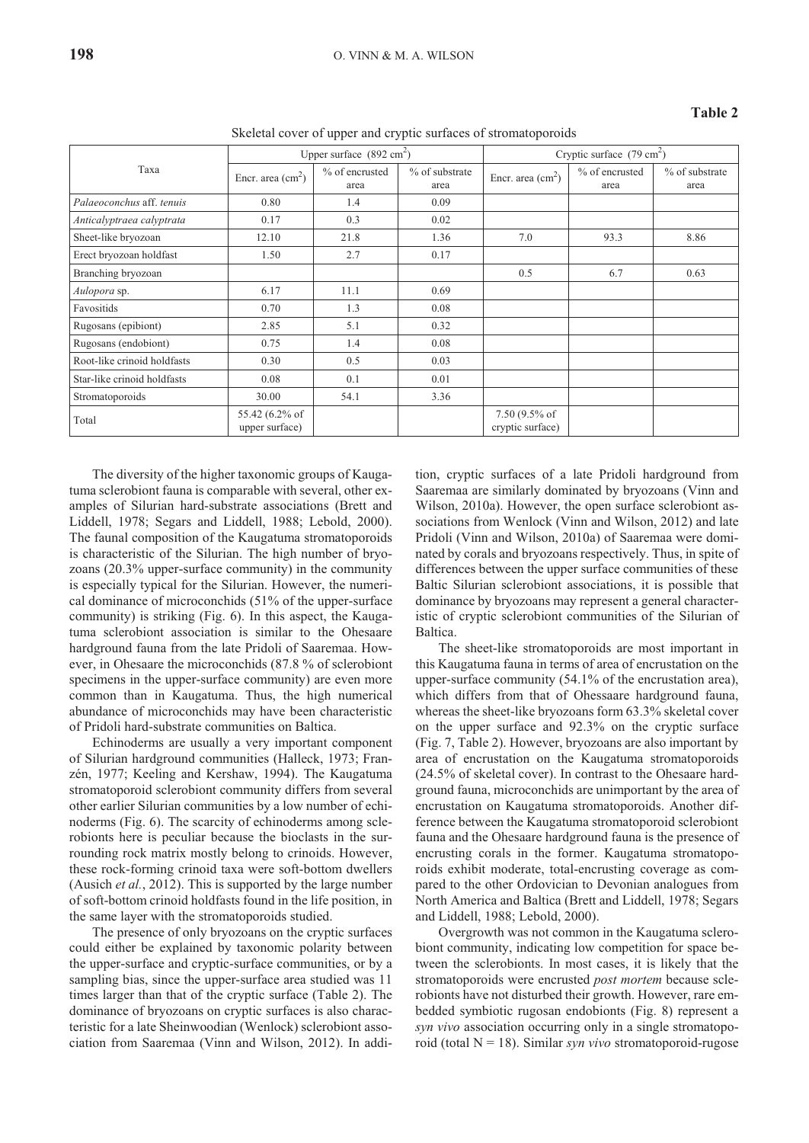#### **Ta ble 2**

|  |  | Skeletal cover of upper and cryptic surfaces of stromatoporoids |  |  |
|--|--|-----------------------------------------------------------------|--|--|
|  |  |                                                                 |  |  |

| Taxa                        | Upper surface $(892 \text{ cm}^2)$ |                          |                        | Cryptic surface $(79 \text{ cm}^2)$           |                        |                        |  |
|-----------------------------|------------------------------------|--------------------------|------------------------|-----------------------------------------------|------------------------|------------------------|--|
|                             | Encr. area $\text{(cm}^2\text{)}$  | $%$ of encrusted<br>area | % of substrate<br>area | Encr. area $\text{(cm}^2\text{)}$             | % of encrusted<br>area | % of substrate<br>area |  |
| Palaeoconchus aff. tenuis   | 0.80                               | 1.4                      | 0.09                   |                                               |                        |                        |  |
| Anticalyptraea calyptrata   | 0.17                               | 0.3                      | 0.02                   |                                               |                        |                        |  |
| Sheet-like bryozoan         | 12.10                              | 21.8                     | 1.36                   | 7.0                                           | 93.3                   | 8.86                   |  |
| Erect bryozoan holdfast     | 1.50                               | 2.7                      | 0.17                   |                                               |                        |                        |  |
| Branching bryozoan          |                                    |                          |                        | 0.5                                           | 6.7                    | 0.63                   |  |
| Aulopora sp.                | 6.17                               | 11.1                     | 0.69                   |                                               |                        |                        |  |
| Favositids                  | 0.70                               | 1.3                      | 0.08                   |                                               |                        |                        |  |
| Rugosans (epibiont)         | 2.85                               | 5.1                      | 0.32                   |                                               |                        |                        |  |
| Rugosans (endobiont)        | 0.75                               | 1.4                      | 0.08                   |                                               |                        |                        |  |
| Root-like crinoid holdfasts | 0.30                               | 0.5                      | 0.03                   |                                               |                        |                        |  |
| Star-like crinoid holdfasts | 0.08                               | 0.1                      | 0.01                   |                                               |                        |                        |  |
| Stromatoporoids             | 30.00                              | 54.1                     | 3.36                   |                                               |                        |                        |  |
| Total                       | 55.42 (6.2% of<br>upper surface)   |                          |                        | 7.50 $(9.5\% \text{ of }$<br>cryptic surface) |                        |                        |  |

The diversity of the higher taxonomic groups of Kaugatuma sclerobiont fauna is comparable with several, other examples of Silurian hard-substrate associations (Brett and Liddell, 1978; Segars and Liddell, 1988; Lebold, 2000). The faunal composition of the Kaugatuma stromatoporoids is characteristic of the Silurian. The high number of bryozoans  $(20.3\%$  upper-surface community) in the community is especially typical for the Silurian. However, the numerical dominance of microconchids (51% of the upper-surface community) is striking (Fig. 6). In this aspect, the Kaugatuma sclerobiont association is similar to the Ohesaare hardground fauna from the late Pridoli of Saaremaa. However, in Ohesaare the microconchids (87.8 % of sclerobiont specimens in the upper-surface community) are even more common than in Kaugatuma. Thus, the high numerical abundance of microconchids may have been characteristic of Pridoli hard-substrate communities on Baltica.

Echinoderms are usually a very important component of Silurian hardground communities (Halleck, 1973; Franzén, 1977; Keeling and Kershaw, 1994). The Kaugatuma stromatoporoid sclerobiont community differs from several other earlier Silurian communities by a low number of echinoderms (Fig. 6). The scarcity of echinoderms among sclerobionts here is peculiar because the bioclasts in the surrounding rock matrix mostly belong to crinoids. However, these rock-forming crinoid taxa were soft-bottom dwellers (Ausich *et al.*, 2012). This is supported by the large number of soft-bottom crinoid holdfasts found in the life position, in the same layer with the stromatoporoids studied.

The presence of only bryozoans on the cryptic surfaces could either be explained by taxonomic polarity between the upper-surface and cryptic-surface communities, or by a sampling bias, since the upper-surface area studied was 11 times larger than that of the cryptic surface (Table 2). The dominance of bryozoans on cryptic surfaces is also characteristic for a late Sheinwoodian (Wenlock) sclerobiont association from Saaremaa (Vinn and Wilson, 2012). In addition, cryp tic sur faces of a late Pridoli hardground from Saaremaa are similarly dominated by bryozoans (Vinn and Wilson, 2010a). However, the open surface sclerobiont associations from Wenlock (Vinn and Wilson, 2012) and late Pridoli (Vinn and Wilson, 2010a) of Saaremaa were domi nated by corals and bryozoans respectively. Thus, in spite of differences between the upper surface communities of these Baltic Silurian sclerobiont associations, it is possible that dominance by bryozoans may represent a general characteristic of cryptic sclerobiont communities of the Silurian of Baltica.

The sheet-like stromatoporoids are most important in this Kaugatuma fauna in terms of area of encrustation on the upper-surface community  $(54.1\% \text{ of the encrustation area}),$ which differs from that of Ohessaare hardground fauna, whereas the sheet-like bryozoans form 63.3% skeletal cover on the upper surface and  $92.3\%$  on the cryptic surface (Fig. 7, Table 2). However, bryozoans are also important by area of encrustation on the Kaugatuma stromatoporoids  $(24.5\%$  of skeletal cover). In contrast to the Ohesaare hardground fauna, microconchids are unimportant by the area of encrustation on Kaugatuma stromatoporoids. Another difference between the Kaugatuma stromatoporoid sclerobiont fauna and the Ohesaare hardground fauna is the presence of encrusting corals in the former. Kaugatuma stromatoporoids exhibit moderate, total-encrusting coverage as compared to the other Ordovician to Devonian analogues from North America and Baltica (Brett and Liddell, 1978; Segars and Liddell, 1988; Lebold, 2000).

Overgrowth was not common in the Kaugatuma sclerobiont community, indicating low competition for space between the sclerobionts. In most cases, it is likely that the stromatoporoids were encrusted *post mortem* because sclerobionts have not disturbed their growth. However, rare embedded symbiotic rugosan endobionts (Fig. 8) represent a syn vivo association occurring only in a single stromatoporoid (total  $N = 18$ ). Similar *syn vivo* stromatoporoid-rugose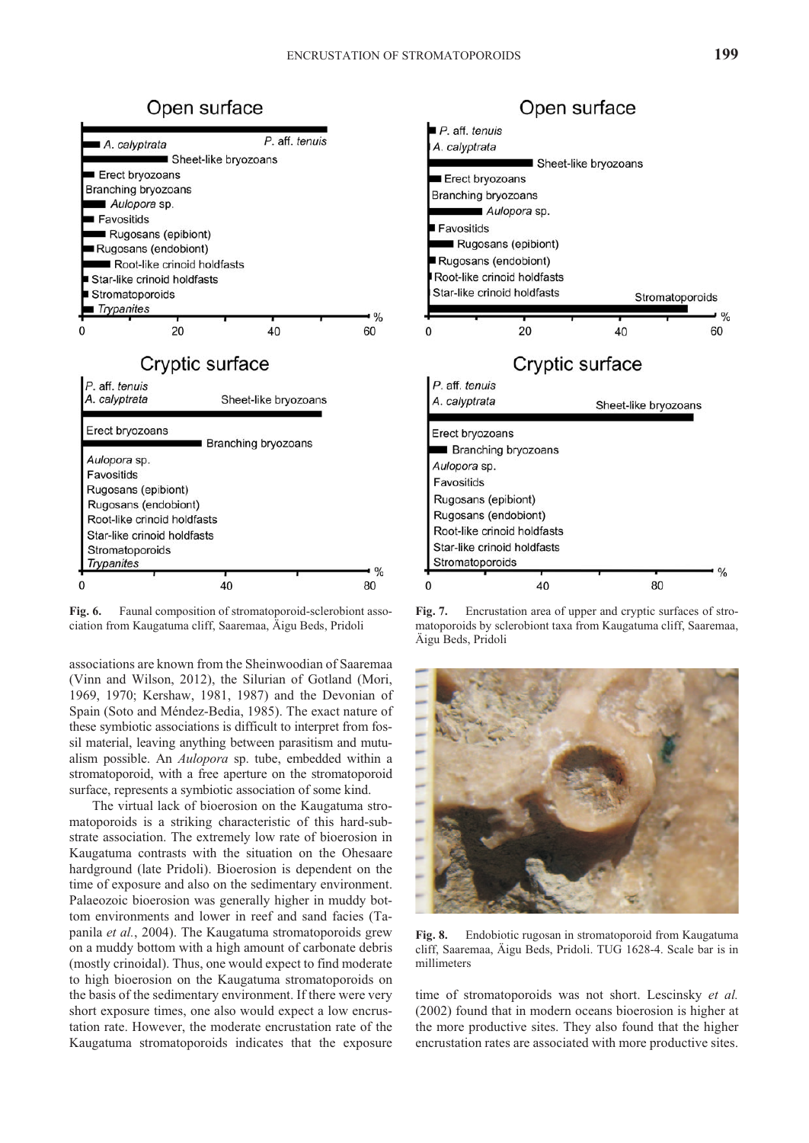

**Fig. 6.** Faunal composition of stromatoporoid-sclerobiont association from Kaugatuma cliff, Saaremaa, Äigu Beds, Pridoli

associations are known from the Sheinwoodian of Saaremaa (Vinn and Wilson, 2012), the Silurian of Gotland (Mori, 1969, 1970; Kershaw, 1981, 1987) and the Devonian of Spain (Soto and Méndez-Bedia, 1985). The exact nature of these symbiotic associations is difficult to interpret from fossil material, leaving anything between parasitism and mutualism possible. An *Aulopora* sp. tube, embedded within a stromatoporoid, with a free aperture on the stromatoporoid surface, represents a symbiotic association of some kind.

The virtual lack of bioerosion on the Kaugatuma stromatoporoids is a striking characteristic of this hard-substrate association. The extremely low rate of bioerosion in Kaugatuma contrasts with the situation on the Ohesaare hardground (late Pridoli). Bioerosion is dependent on the time of exposure and also on the sedimentary environment. Palaeozoic bioerosion was generally higher in muddy bottom environments and lower in reef and sand facies (Tapanila *et al.*, 2004). The Kaugatuma stromatoporoids grew on a muddy bottom with a high amount of carbonate debris (mostly crinoidal). Thus, one would expect to find moderate to high bioerosion on the Kaugatuma stromatoporoids on the basis of the sedimentary environment. If there were very short exposure times, one also would expect a low encrustation rate. However, the moderate encrustation rate of the Kaugatuma stromatoporoids indicates that the exposure



Fig. 7. Encrustation area of upper and cryptic surfaces of stromatoporoids by sclerobiont taxa from Kaugatuma cliff, Saaremaa, Äigu Beds, Pridoli



**Fig. 8.** Endobiotic rugosan in stromatoporoid from Kaugatuma cliff, Saaremaa, Äigu Beds, Pridoli. TUG 1628-4. Scale bar is in millimeters

time of stromatoporoids was not short. Lescinsky *et al.*  $(2002)$  found that in modern oceans bioerosion is higher at the more productive sites. They also found that the higher encrustation rates are associated with more productive sites.